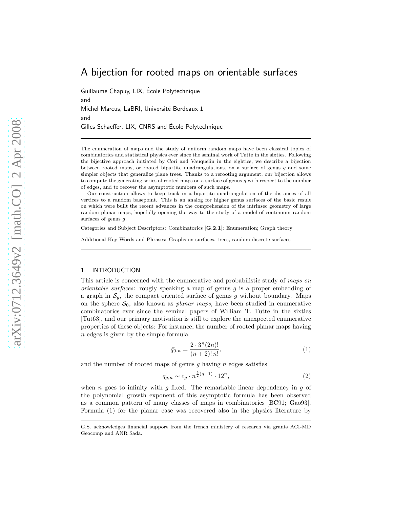# A bijection for rooted maps on orientable surfaces

Guillaume Chapuy, LIX, Ecole Polytechnique ´ and Michel Marcus, LaBRI, Université Bordeaux 1 and Gilles Schaeffer, LIX, CNRS and École Polytechnique

The enumeration of maps and the study of uniform random maps have been classical topics of combinatorics and statistical physics ever since the seminal work of Tutte in the sixties. Following the bijective approach initiated by Cori and Vauquelin in the eighties, we describe a bijection between rooted maps, or rooted bipartite quadrangulations, on a surface of genus  $q$  and some simpler objects that generalize plane trees. Thanks to a rerooting argument, our bijection allows to compute the generating series of rooted maps on a surface of genus  $g$  with respect to the number of edges, and to recover the asymptotic numbers of such maps.

Our construction allows to keep track in a bipartite quadrangulation of the distances of all vertices to a random basepoint. This is an analog for higher genus surfaces of the basic result on which were built the recent advances in the comprehension of the intrinsec geometry of large random planar maps, hopefully opening the way to the study of a model of continuum random surfaces of genus g.

Categories and Subject Descriptors: Combinatorics [G.2.1]: Enumeration; Graph theory

Additional Key Words and Phrases: Graphs on surfaces, trees, random discrete surfaces

# 1. INTRODUCTION

This article is concerned with the enumerative and probabilistic study of *maps on orientable surfaces*: rougly speaking a map of genus g is a proper embedding of a graph in  $S_g$ , the compact oriented surface of genus g without boundary. Maps on the sphere  $S_0$ , also known as *planar maps*, have been studied in enumerative combinatorics ever since the seminal papers of William T. Tutte in the sixties [Tut63], and our primary motivation is still to explore the unexpected enumerative properties of these objects: For instance, the number of rooted planar maps having n edges is given by the simple formula

$$
\vec{q}_{0,n} = \frac{2 \cdot 3^n (2n)!}{(n+2)! \, n!},\tag{1}
$$

and the number of rooted maps of genus  $g$  having  $n$  edges satisfies

$$
\vec{q}_{g,n} \sim c_g \cdot n^{\frac{5}{2}(g-1)} \cdot 12^n,\tag{2}
$$

when n goes to infinity with q fixed. The remarkable linear dependency in q of the polynomial growth exponent of this asymptotic formula has been observed as a common pattern of many classes of maps in combinatorics [BC91; Gao93]. Formula (1) for the planar case was recovered also in the physics literature by

G.S. acknowledges financial support from the french ministery of research via grants ACI-MD Geocomp and ANR Sada.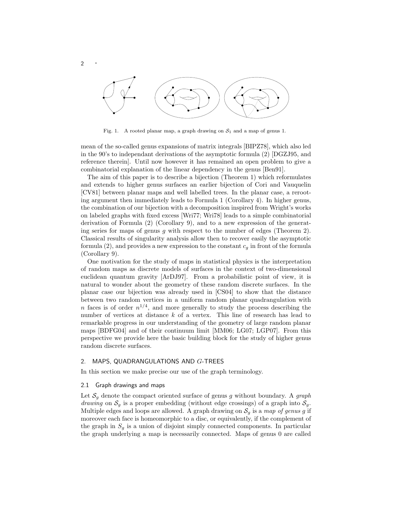

Fig. 1. A rooted planar map, a graph drawing on  $S_1$  and a map of genus 1.

mean of the so-called genus expansions of matrix integrals [BIPZ78], which also led in the 90's to independant derivations of the asymptotic formula (2) [DGZJ95, and reference therein]. Until now however it has remained an open problem to give a combinatorial explanation of the linear dependency in the genus [Ben91].

The aim of this paper is to describe a bijection (Theorem 1) which reformulates and extends to higher genus surfaces an earlier bijection of Cori and Vauquelin [CV81] between planar maps and well labelled trees. In the planar case, a rerooting argument then immediately leads to Formula 1 (Corollary 4). In higher genus, the combination of our bijection with a decomposition inspired from Wright's works on labeled graphs with fixed excess [Wri77; Wri78] leads to a simple combinatorial derivation of Formula (2) (Corollary 9), and to a new expression of the generating series for maps of genus  $g$  with respect to the number of edges (Theorem 2). Classical results of singularity analysis allow then to recover easily the asymptotic formula (2), and provides a new expression to the constant  $c<sub>g</sub>$  in front of the formula (Corollary 9).

One motivation for the study of maps in statistical physics is the interpretation of random maps as discrete models of surfaces in the context of two-dimensional euclidean quantum gravity [ArDJ97]. From a probabilistic point of view, it is natural to wonder about the geometry of these random discrete surfaces. In the planar case our bijection was already used in [CS04] to show that the distance between two random vertices in a uniform random planar quadrangulation with *n* faces is of order  $n^{1/4}$ , and more generally to study the process describing the number of vertices at distance  $k$  of a vertex. This line of research has lead to remarkable progress in our understanding of the geometry of large random planar maps [BDFG04] and of their continuum limit [MM06; LG07; LGP07]. From this perspective we provide here the basic building block for the study of higher genus random discrete surfaces.

# 2. MAPS, QUADRANGULATIONS AND G-TREES

In this section we make precise our use of the graph terminology.

### 2.1 Graph drawings and maps

<sup>2</sup> ·

Let  $S_g$  denote the compact oriented surface of genus g without boundary. A graph *drawing* on  $S_g$  is a proper embedding (without edge crossings) of a graph into  $S_g$ . Multiple edges and loops are allowed. A graph drawing on S<sup>g</sup> is a *map of genus* g if moreover each face is homeomorphic to a disc, or equivalently, if the complement of the graph in  $S_q$  is a union of disjoint simply connected components. In particular the graph underlying a map is necessarily connected. Maps of genus 0 are called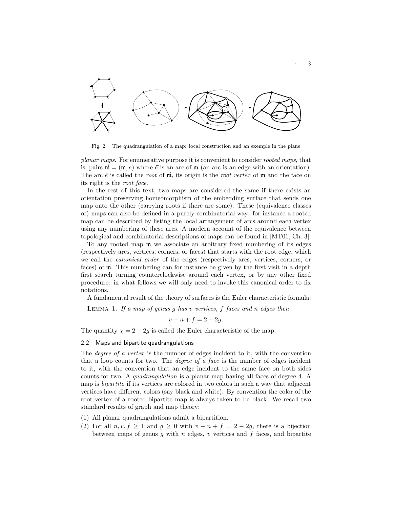

Fig. 2. The quadrangulation of a map: local construction and an exemple in the plane

*planar maps*. For enumerative purpose it is convenient to consider *rooted maps*, that is, pairs  $\vec{m} = (m, e)$  where  $\vec{e}$  is an arc of  $m$  (an arc is an edge with an orientation). The arc  $\vec{e}$  is called the *root* of  $\vec{m}$ , its origin is the *root vertex* of  $\vec{m}$  and the face on its right is the *root face*.

In the rest of this text, two maps are considered the same if there exists an orientation preserving homeomorphism of the embedding surface that sends one map onto the other (carrying roots if there are some). These (equivalence classes of) maps can also be defined in a purely combinatorial way: for instance a rooted map can be described by listing the local arrangement of arcs around each vertex using any numbering of these arcs. A modern account of the equivalence between topological and combinatorial descriptions of maps can be found in [MT01, Ch. 3].

To any rooted map  $\vec{m}$  we associate an arbitrary fixed numbering of its edges (respectively arcs, vertices, corners, or faces) that starts with the root edge, which we call the *canonical order* of the edges (respectively arcs, vertices, corners, or faces) of  $\vec{m}$ . This numbering can for instance be given by the first visit in a depth first search turning counterclockwise around each vertex, or by any other fixed procedure: in what follows we will only need to invoke this canonical order to fix notations.

A fundamental result of the theory of surfaces is the Euler characteristic formula:

Lemma 1. *If a map of genus* g *has* v *vertices,* f *faces and* n *edges then*

 $v - n + f = 2 - 2g$ .

The quantity  $\chi = 2 - 2g$  is called the Euler characteristic of the map.

# 2.2 Maps and bipartite quadrangulations

The *degree of a vertex* is the number of edges incident to it, with the convention that a loop counts for two. The *degree of a face* is the number of edges incident to it, with the convention that an edge incident to the same face on both sides counts for two. A *quadrangulation* is a planar map having all faces of degree 4. A map is *bipartite* if its vertices are colored in two colors in such a way that adjacent vertices have different colors (say black and white). By convention the color of the root vertex of a rooted bipartite map is always taken to be black. We recall two standard results of graph and map theory:

- (1) All planar quadrangulations admit a bipartition.
- (2) For all  $n, v, f \ge 1$  and  $g \ge 0$  with  $v n + f = 2 2g$ , there is a bijection between maps of genus  $g$  with  $n$  edges,  $v$  vertices and  $f$  faces, and bipartite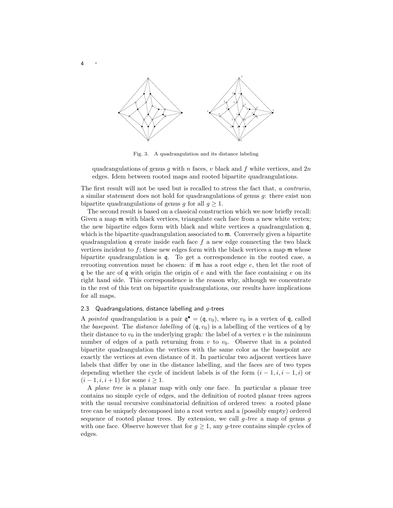

Fig. 3. A quadrangulation and its distance labeling

quadrangulations of genus g with n faces, v black and f white vertices, and  $2n$ edges. Idem between rooted maps and rooted bipartite quadrangulations.

The first result will not be used but is recalled to stress the fact that, *a contrario*, a similar statement does not hold for quadrangulations of genus g: there exist non bipartite quadrangulations of genus g for all  $g \geq 1$ .

The second result is based on a classical construction which we now briefly recall: Given a map  $m$  with black vertices, triangulate each face from a new white vertex; the new bipartite edges form with black and white vertices a quadrangulation q, which is the bipartite quadrangulation associated to  $m$ . Conversely given a bipartite quadrangulation  $\mathfrak g$  create inside each face f a new edge connecting the two black vertices incident to  $f$ ; these new edges form with the black vertices a map  $\mathfrak m$  whose bipartite quadrangulation is q. To get a correspondence in the rooted case, a rerooting convention must be chosen: if m has a root edge e, then let the root of q be the arc of q with origin the origin of e and with the face containing e on its right hand side. This correspondence is the reason why, although we concentrate in the rest of this text on bipartite quadrangulations, our results have implications for all maps.

# 2.3 Quadrangulations, distance labelling and  $g$ -trees

A *pointed* quadrangulation is a pair  $\mathbf{q}^{\bullet} = (\mathbf{q}, v_0)$ , where  $v_0$  is a vertex of  $\mathbf{q}$ , called the *basepoint*. The *distance labelling* of  $(q, v_0)$  is a labelling of the vertices of q by their distance to  $v_0$  in the underlying graph: the label of a vertex  $v$  is the minimum number of edges of a path returning from  $v$  to  $v_0$ . Observe that in a pointed bipartite quadrangulation the vertices with the same color as the basepoint are exactly the vertices at even distance of it. In particular two adjacent vertices have labels that differ by one in the distance labelling, and the faces are of two types depending whether the cycle of incident labels is of the form  $(i - 1, i, i - 1, i)$  or  $(i - 1, i, i + 1)$  for some  $i \ge 1$ .

A *plane tree* is a planar map with only one face. In particular a planar tree contains no simple cycle of edges, and the definition of rooted planar trees agrees with the usual recursive combinatorial definition of ordered trees: a rooted plane tree can be uniquely decomposed into a root vertex and a (possibly empty) ordered sequence of rooted planar trees. By extension, we call g*-tree* a map of genus g with one face. Observe however that for  $g \geq 1$ , any g-tree contains simple cycles of edges.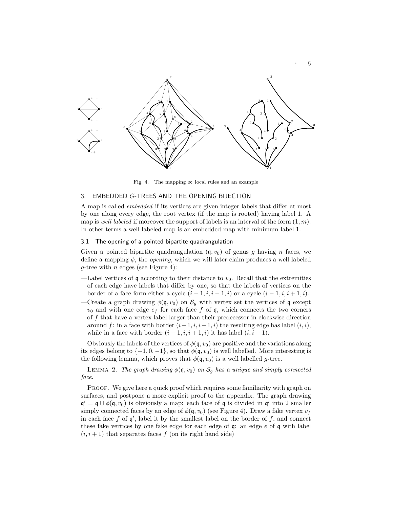

Fig. 4. The mapping  $\phi$ : local rules and an example

# 3. EMBEDDED G-TREES AND THE OPENING BIJECTION

A map is called *embedded* if its vertices are given integer labels that differ at most by one along every edge, the root vertex (if the map is rooted) having label 1. A map is *well labeled* if moreover the support of labels is an interval of the form  $(1, m)$ . In other terms a well labeled map is an embedded map with minimum label 1.

### 3.1 The opening of a pointed bipartite quadrangulation

Given a pointed bipartite quadrangulation  $(q, v_0)$  of genus q having n faces, we define a mapping  $\phi$ , the *opening*, which we will later claim produces a well labeled g-tree with  $n$  edges (see Figure 4):

- —Label vertices of q according to their distance to  $v_0$ . Recall that the extremities of each edge have labels that differ by one, so that the labels of vertices on the border of a face form either a cycle  $(i-1, i, i-1, i)$  or a cycle  $(i-1, i, i+1, i)$ .
- —Create a graph drawing  $\phi(\mathfrak{q}, v_0)$  on  $\mathcal{S}_g$  with vertex set the vertices of q except  $v_0$  and with one edge  $e_f$  for each face f of q, which connects the two corners of  $f$  that have a vertex label larger than their predecessor in clockwise direction around f: in a face with border  $(i-1, i, i-1, i)$  the resulting edge has label  $(i, i)$ , while in a face with border  $(i-1, i, i+1, i)$  it has label  $(i, i+1)$ .

Obviously the labels of the vertices of  $\phi(\mathfrak{q}, v_0)$  are positive and the variations along its edges belong to  $\{+1, 0, -1\}$ , so that  $\phi(\mathfrak{q}, v_0)$  is well labelled. More interesting is the following lemma, which proves that  $\phi(\mathfrak{q}, v_0)$  is a well labelled g-tree.

LEMMA 2. *The graph drawing*  $\phi(\mathfrak{q}, v_0)$  *on*  $S_q$  *has a unique and simply connected face.*

PROOF. We give here a quick proof which requires some familiarity with graph on surfaces, and postpone a more explicit proof to the appendix. The graph drawing  $\mathfrak{q}' = \mathfrak{q} \cup \phi(\mathfrak{q}, v_0)$  is obviously a map: each face of  $\mathfrak{q}$  is divided in  $\mathfrak{q}'$  into 2 smaller simply connected faces by an edge of  $\phi(\mathfrak{q}, v_0)$  (see Figure 4). Draw a fake vertex  $v_f$ in each face  $f$  of  $\mathfrak{q}'$ , label it by the smallest label on the border of  $f$ , and connect these fake vertices by one fake edge for each edge of  $q$ : an edge  $e$  of  $q$  with label  $(i, i + 1)$  that separates faces f (on its right hand side)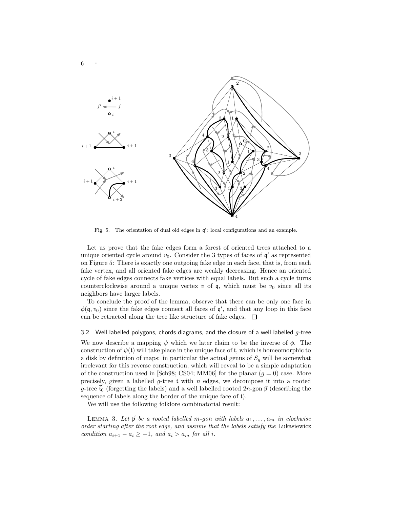

Fig. 5. The orientation of dual old edges in  $\mathfrak{q}'$ : local configurations and an example.

Let us prove that the fake edges form a forest of oriented trees attached to a unique oriented cycle around  $v_0$ . Consider the 3 types of faces of  $\mathfrak{q}'$  as represented on Figure 5: There is exactly one outgoing fake edge in each face, that is, from each fake vertex, and all oriented fake edges are weakly decreasing. Hence an oriented cycle of fake edges connects fake vertices with equal labels. But such a cycle turns counterclockwise around a unique vertex v of  $\mathfrak{q}$ , which must be  $v_0$  since all its neighbors have larger labels.

To conclude the proof of the lemma, observe that there can be only one face in  $\phi(\mathfrak{q},v_0)$  since the fake edges connect all faces of  $\mathfrak{q}'$ , and that any loop in this face can be retracted along the tree like structure of fake edges.  $\Box$ 

# 3.2 Well labelled polygons, chords diagrams, and the closure of a well labelled  $q$ -tree

We now describe a mapping  $\psi$  which we later claim to be the inverse of  $\phi$ . The construction of  $\psi(t)$  will take place in the unique face of t, which is homeomorphic to a disk by definition of maps: in particular the actual genus of  $S<sub>q</sub>$  will be somewhat irrelevant for this reverse construction, which will reveal to be a simple adaptation of the construction used in [Sch98; CS04; MM06] for the planar  $(q = 0)$  case. More precisely, given a labelled g-tree  $t$  with n edges, we decompose it into a rooted g-tree  $\vec{t}_0$  (forgetting the labels) and a well labelled rooted  $2n$ -gon  $\vec{p}$  (describing the sequence of labels along the border of the unique face of t).

We will use the following folklore combinatorial result:

LEMMA 3. Let  $\vec{p}$  be a rooted labelled m-gon with labels  $a_1, \ldots, a_m$  in clockwise *order starting after the root edge, and assume that the labels satisfy the* Lukasiewicz *condition*  $a_{i+1} - a_i \geq -1$ *, and*  $a_i > a_m$  *for all i.*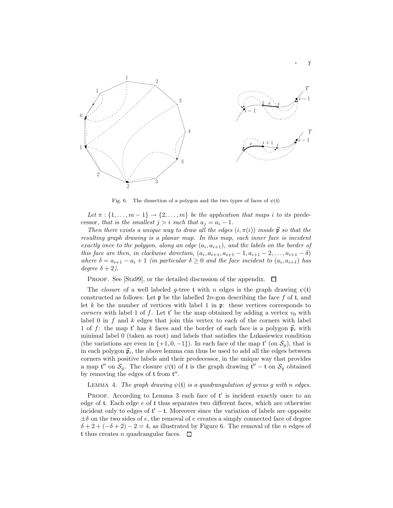

Fig. 6. The dissection of a polygon and the two types of faces of  $\psi(t)$ 

Let  $\pi : \{1, \ldots, m-1\} \to \{2, \ldots, m\}$  *be the application that maps i to its* predecessor, that is the smallest  $j > i$  such that  $a_j = a_i - 1$ .

*Then there exists a unique way to draw all the edges*  $(i, \pi(i))$  *inside*  $\vec{p}$  *so that the resulting graph drawing is a planar map. In this map, each inner face is incident*  $\emph{exactly once to the polygon, along an edge $(a_i, a_{i+1})$}, and the labels on the border of$ *this face are then, in clockwise direction,*  $(a_i, a_{i+1}, a_{i+1} - 1, a_{i+1} - 2, ..., a_{i+1} - \delta)$ *where*  $\delta = a_{i+1} - a_i + 1$  *(in particular*  $\delta \geq 0$  *and the face incident to*  $(a_i, a_{i+1})$  *has degree*  $\delta + 2$ *)*.

PROOF. See [Sta99], or the detailed discussion of the appendix.  $\Box$ 

The *closure* of a well labeled g-tree t with n edges is the graph drawing  $\psi(t)$ constructed as follows: Let  $\mathfrak p$  be the labelled 2n-gon describing the face f of t, and let k be the number of vertices with label 1 in  $\mathfrak{p}$ : these vertices corresponds to *corners* with label 1 of f. Let  $t'$  be the map obtained by adding a vertex  $v_0$  with label 0 in  $f$  and  $k$  edges that join this vertex to each of the corners with label 1 of f: the map t' has k faces and the border of each face is a polygon  $\vec{p}_i$  with minimal label 0 (taken as root) and labels that satisfies the Lukasiewicz condition (the variations are even in  $\{+1, 0, -1\}$ ). In each face of the map  $\mathfrak{t}'$  (on  $\mathcal{S}_g$ ), that is in each polygon  $\vec{p}_i$ , the above lemma can thus be used to add all the edges between corners with positive labels and their predecessor, in the unique way that provides a map  $\mathfrak{t}''$  on  $\mathcal{S}_g$ . The closure  $\psi(\mathfrak{t})$  of  $\mathfrak{t}$  is the graph drawing  $\mathfrak{t}'' - \mathfrak{t}$  on  $\mathcal{S}_g$  obtained by removing the edges of  $t$  from  $t''$ .

# LEMMA 4. *The graph drawing*  $\psi$ (t) *is a quadrangulation of genus g with* n *edges.*

PROOF. According to Lemma 3 each face of  $t'$  is incident exactly once to an edge of t. Each edge e of t thus separates two different faces, which are otherwise incident only to edges of  $t' - t$ . Moreover since the variation of labels are opposite  $\pm\delta$  on the two sides of e, the removal of e creates a simply connected face of degree  $\delta + 2 + (-\delta + 2) - 2 = 4$ , as illustrated by Figure 6. The removal of the n edges of t thus creates *n* quadrangular faces.  $\Box$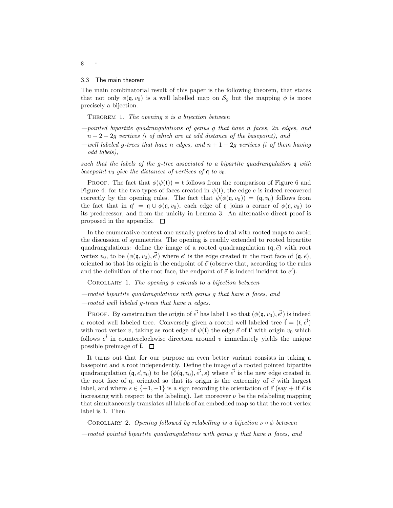### 3.3 The main theorem

The main combinatorial result of this paper is the following theorem, that states that not only  $\phi(\mathfrak{q}, v_0)$  is a well labelled map on  $\mathcal{S}_g$  but the mapping  $\phi$  is more precisely a bijection.

THEOREM 1. *The opening*  $\phi$  *is a bijection between* 

- *—pointed bipartite quadrangulations of genus* g *that have* n *faces,* 2n *edges, and* n + 2 − 2g *vertices (*i *of which are at odd distance of the basepoint), and*
- *—well labeled* g*-trees that have* n *edges, and* n + 1 − 2g *vertices (*i *of them having odd labels),*

*such that the labels of the* g*-tree associated to a bipartite quadrangulation* q *with basepoint*  $v_0$  *give the distances of vertices of*  $\mathfrak{q}$  *to*  $v_0$ *.* 

PROOF. The fact that  $\phi(\psi(t)) = t$  follows from the comparison of Figure 6 and Figure 4: for the two types of faces created in  $\psi(\mathfrak{t})$ , the edge e is indeed recovered correctly by the opening rules. The fact that  $\psi(\phi(\mathfrak{q}, v_0)) = (\mathfrak{q}, v_0)$  follows from the fact that in  $\mathfrak{q}' = \mathfrak{q} \cup \phi(\mathfrak{q}, v_0)$ , each edge of  $\mathfrak{q}$  joins a corner of  $\phi(\mathfrak{q}, v_0)$  to its predecessor, and from the unicity in Lemma 3. An alternative direct proof is proposed in the appendix.  $\Box$ 

In the enumerative context one usually prefers to deal with rooted maps to avoid the discussion of symmetries. The opening is readily extended to rooted bipartite quadrangulations: define the image of a rooted quadrangulation  $(q, \vec{e})$  with root vertex  $v_0$ , to be  $(\phi(\mathfrak{q}, v_0), \vec{e'})$  where  $e'$  is the edge created in the root face of  $(\mathfrak{q}, \vec{e})$ , oriented so that its origin is the endpoint of  $\vec{e}$  (observe that, according to the rules and the definition of the root face, the endpoint of  $\vec{e}$  is indeed incident to  $e'$ ).

Corollary 1. *The opening* φ *extends to a bijection between*

*—rooted bipartite quadrangulations with genus* g *that have* n *faces, and —rooted well labeled* g*-trees that have* n *edges.*

PROOF. By construction the origin of  $\vec{e'}$  has label 1 so that  $(\phi(\mathfrak{q}, v_0), \vec{e'})$  is indeed a rooted well labeled tree. Conversely given a rooted well labeled tree  $\vec{t} = (t, \vec{e'})$ with root vertex v, taking as root edge of  $\psi(\vec{t})$  the edge  $\vec{e}$  of  $\mathfrak{t}'$  with origin  $v_0$  which follows  $\vec{e'}$  in counterclockwise direction around v immediately yields the unique possible preimage of  $\vec{t}$ .  $\Box$ 

It turns out that for our purpose an even better variant consists in taking a basepoint and a root independently. Define the image of a rooted pointed bipartite quadrangulation  $(q, \vec{e}, v_0)$  to be  $(\phi(q, v_0), \vec{e'}, s)$  where  $\vec{e'}$  is the new edge created in the root face of q, oriented so that its origin is the extremity of  $\vec{e}$  with largest label, and where  $s \in \{+1, -1\}$  is a sign recording the orientation of  $\vec{e}$  (say + if  $\vec{e}$  is increasing with respect to the labeling). Let moreover  $\nu$  be the relabeling mapping that simultaneously translates all labels of an embedded map so that the root vertex label is 1. Then

COROLLARY 2. *Opening followed by relabelling is a bijection*  $\nu \circ \phi$  *between* 

*—rooted pointed bipartite quadrangulations with genus* g *that have* n *faces, and*

### <sup>8</sup> ·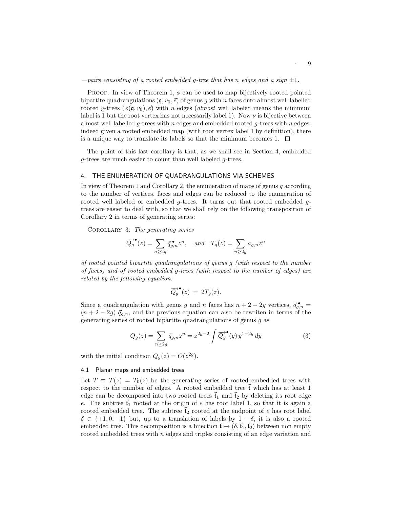*—pairs consisting of a rooted embedded* g*-tree that has* n *edges and a sign* ±1*.*

PROOF. In view of Theorem 1,  $\phi$  can be used to map bijectively rooted pointed bipartite quadrangulations  $(q, v_0, \vec{e})$  of genus g with n faces onto almost well labelled rooted g-trees  $(\phi(\mathfrak{q}, v_0), \vec{e})$  with n edges (*almost* well labeled means the minimum label is 1 but the root vertex has not necessarily label 1). Now  $\nu$  is bijective between almost well labelled q-trees with n edges and embedded rooted  $q$ -trees with n edges: indeed given a rooted embedded map (with root vertex label 1 by definition), there is a unique way to translate its labels so that the minimum becomes 1.  $\Box$ 

The point of this last corollary is that, as we shall see in Section 4, embedded g-trees are much easier to count than well labeled g-trees.

### 4. THE ENUMERATION OF QUADRANGULATIONS VIA SCHEMES

In view of Theorem 1 and Corollary 2, the enumeration of maps of genus  $q$  according to the number of vertices, faces and edges can be reduced to the enumeration of rooted well labeled or embedded g-trees. It turns out that rooted embedded gtrees are easier to deal with, so that we shall rely on the following transposition of Corollary 2 in terms of generating series:

Corollary 3. *The generating series*

$$
\overrightarrow{Q_g}^{\bullet}(z) = \sum_{n \ge 2g} \overrightarrow{q}_{g,n}^{\bullet} z^n, \quad and \quad T_g(z) = \sum_{n \ge 2g} a_{g,n} z^n
$$

*of rooted pointed bipartite quadrangulations of genus* g *(with respect to the number of faces) and of rooted embedded* g*-trees (with respect to the number of edges) are related by the following equation:*

$$
\overrightarrow{Q_g}^{\bullet}(z) = 2T_g(z).
$$

Since a quadrangulation with genus g and n faces has  $n + 2 - 2g$  vertices,  $\vec{q}_{g,n} =$  $(n+2-2g) \, \vec{q}_{g,n}$ , and the previous equation can also be rewriten in terms of the generating series of rooted bipartite quadrangulations of genus g as

$$
Q_g(z) = \sum_{n \ge 2g} \vec{q}_{g,n} z^n = z^{2g-2} \int \overline{Q}_g^{\bullet} (y) y^{1-2g} dy \tag{3}
$$

with the initial condition  $Q_g(z) = O(z^{2g}).$ 

# 4.1 Planar maps and embedded trees

Let  $T \equiv T(z) = T_0(z)$  be the generating series of rooted embedded trees with respect to the number of edges. A rooted embedded tree  $\vec{t}$  which has at least 1 edge can be decomposed into two rooted trees  $\vec{t}_1$  and  $\vec{t}_2$  by deleting its root edge e. The subtree  $\tilde{t}_1$  rooted at the origin of e has root label 1, so that it is again a rooted embedded tree. The subtree  $\tilde{t}_2$  rooted at the endpoint of e has root label  $\delta \in \{+1, 0, -1\}$  but, up to a translation of labels by  $1 - \delta$ , it is also a rooted embedded tree. This decomposition is a bijection  $\vec{t} \mapsto (\delta, \vec{t}_1, \vec{t}_2)$  between non empty rooted embedded trees with  $n$  edges and triples consisting of an edge variation and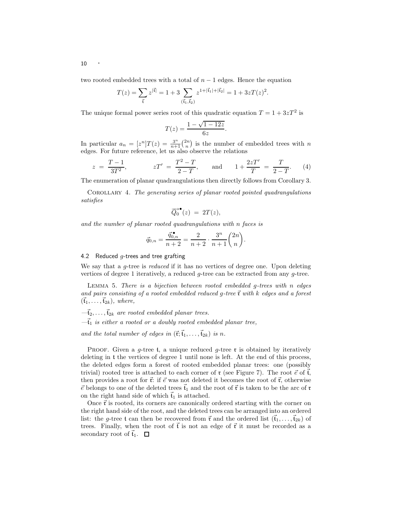two rooted embedded trees with a total of  $n-1$  edges. Hence the equation

$$
T(z) = \sum_{\vec{\mathbf{t}}} z^{|\vec{\mathbf{t}}|} = 1 + 3 \sum_{(\vec{\mathbf{t}}_1, \vec{\mathbf{t}}_2)} z^{1 + |\vec{\mathbf{t}}_1| + |\vec{\mathbf{t}}_2|} = 1 + 3zT(z)^2.
$$

The unique formal power series root of this quadratic equation  $T = 1 + 3zT^2$  is

$$
T(z) = \frac{1 - \sqrt{1 - 12z}}{6z}.
$$

In particular  $a_n = [z^n]T(z) = \frac{3^n}{n+1} {2n \choose n}$  is the number of embedded trees with n edges. For future reference, let us also observe the relations

$$
z = \frac{T-1}{3T^2}
$$
,  $zT' = \frac{T^2-T}{2-T}$ , and  $1 + \frac{2zT'}{T} = \frac{T}{2-T}$ . (4)

The enumeration of planar quadrangulations then directly follows from Corollary 3.

Corollary 4. *The generating series of planar rooted pointed quadrangulations satisfies*

$$
\overrightarrow{Q_0}^{\bullet}(z) = 2T(z),
$$

*and the number of planar rooted quadrangulations with* n *faces is*

$$
\vec{q}_{0,n} = \frac{\vec{q}_{0,n}^{\bullet}}{n+2} = \frac{2}{n+2} \cdot \frac{3^n}{n+1} {2n \choose n}.
$$

# 4.2 Reduced  $q$ -trees and tree grafting

We say that a g-tree is *reduced* if it has no vertices of degree one. Upon deleting vertices of degree 1 iteratively, a reduced  $q$ -tree can be extracted from any  $q$ -tree.

Lemma 5. *There is a bijection between rooted embedded* g*-trees with* n *edges* and pairs consisting of a rooted embedded reduced g-tree  $\vec{\mathbf{r}}$  with k edges and a forest  $(\vec{t}_1, \ldots, \vec{t}_{2k})$ *, where,* 

 $-\vec{t}_2, \ldots, \vec{t}_{2k}$  are rooted embedded planar trees.

 $-\vec{t}_1$  *is either a rooted or a doubly rooted embedded planar tree,* 

and the total number of edges in  $(\vec{r}; \vec{t}_1, \ldots, \vec{t}_{2k})$  is n.

PROOF. Given a g-tree t, a unique reduced g-tree  $\mathfrak r$  is obtained by iteratively deleting in t the vertices of degree 1 until none is left. At the end of this process, the deleted edges form a forest of rooted embedded planar trees: one (possibly trivial) rooted tree is attached to each corner of  $\mathfrak r$  (see Figure 7). The root  $\vec e$  of  $\vec t$ , then provides a root for  $\vec{r}$ : if  $\vec{e}$  was not deleted it becomes the root of  $\vec{r}$ , otherwise  $\vec{e}$  belongs to one of the deleted trees  $\vec{t}_1$  and the root of  $\vec{r}$  is taken to be the arc of  $r$ on the right hand side of which  $\vec{t}_1$  is attached.

Once  $\vec{\tau}$  is rooted, its corners are canonically ordered starting with the corner on the right hand side of the root, and the deleted trees can be arranged into an ordered list: the g-tree t can then be recovered from  $\vec{r}$  and the ordered list  $(\tilde{t}_1, \ldots, \tilde{t}_{2k})$  of trees. Finally, when the root of  $\vec{t}$  is not an edge of  $\vec{r}$  it must be recorded as a secondary root of  $\vec{t}_1$ .  $\Box$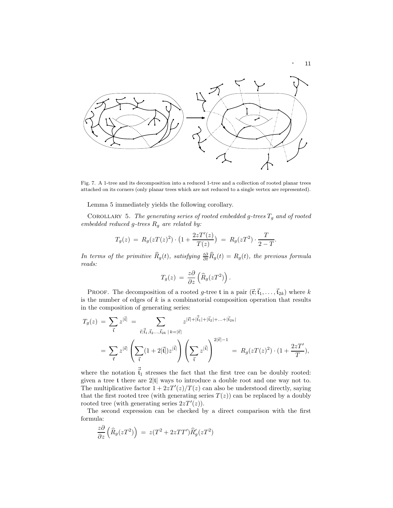

Fig. 7. A 1-tree and its decomposition into a reduced 1-tree and a collection of rooted planar trees attached on its corners (only planar trees which are not reduced to a single vertex are represented).

Lemma 5 immediately yields the following corollary.

Corollary 5. *The generating series of rooted embedded* g*-trees* T<sup>g</sup> *and of rooted embedded reduced* g*-trees* R<sup>g</sup> *are related by:*

$$
T_g(z) = R_g(zT(z)^2) \cdot \left(1 + \frac{2zT'(z)}{T(z)}\right) = R_g(zT^2) \cdot \frac{T}{2 - T}.
$$

*In terms of the primitive*  $\widehat{R}_g(t)$ *, satisfying*  $\frac{t\partial}{\partial t}\widehat{R}_g(t) = R_g(t)$ *, the previous formula reads:*

$$
T_g(z) = \frac{z\partial}{\partial z} \left( \widehat{R}_g(zT^2) \right).
$$

PROOF. The decomposition of a rooted g-tree t in a pair  $(\vec{\mathfrak{r}}; \vec{\mathfrak{t}}_1, \ldots, \vec{\mathfrak{t}}_{2k})$  where k is the number of edges of  $k$  is a combinatorial composition operation that results in the composition of generating series:

$$
T_g(z) = \sum_{\vec{\mathbf{t}}} z^{|\vec{\mathbf{t}}|} = \sum_{\vec{\mathbf{t}}; \vec{\mathbf{t}}_1, \vec{\mathbf{t}}_2, \dots, \vec{\mathbf{t}}_{2k} | k = |\vec{\mathbf{t}}|} z^{|\vec{\mathbf{t}}| + |\vec{\mathbf{t}}_1| + |\vec{\mathbf{t}}_2| + \dots + |\vec{\mathbf{t}}_{2k}|}
$$
  

$$
= \sum_{\vec{\mathbf{t}}} z^{|\vec{\mathbf{t}}|} \left( \sum_{\vec{\mathbf{t}}} (1 + 2|\vec{\mathbf{t}}|) z^{|\vec{\mathbf{t}}|} \right) \left( \sum_{\vec{\mathbf{t}}} z^{|\vec{\mathbf{t}}|} \right)^{2|\vec{\mathbf{t}}| - 1} = R_g(zT(z)^2) \cdot (1 + \frac{2zT'}{T}),
$$

where the notation  $\vec{t}_1$  stresses the fact that the first tree can be doubly rooted: given a tree t there are 2|t| ways to introduce a double root and one way not to. The multiplicative factor  $1 + 2zT'(z)/T(z)$  can also be understood directly, saying that the first rooted tree (with generating series  $T(z)$ ) can be replaced by a doubly rooted tree (with generating series  $2zT'(z)$ ).

The second expression can be checked by a direct comparison with the first formula:

$$
\frac{z\partial}{\partial z}\left(\widehat{R}_g(zT^2)\right) = z(T^2 + 2zTT')\widehat{R}'_g(zT^2)
$$

· <sup>11</sup>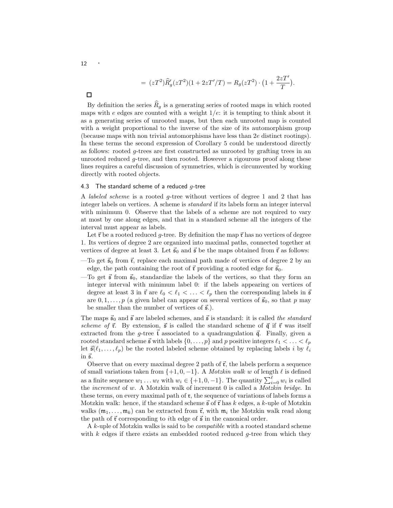$$
= (zT^2)\widehat{R}'_g(zT^2)(1+2zT'/T) = R_g(zT^2) \cdot \left(1 + \frac{2zT'}{T}\right).
$$

 $\Box$ 

By definition the series  $\hat{R}_g$  is a generating series of rooted maps in which rooted maps with e edges are counted with a weight  $1/e$ : it is tempting to think about it as a generating series of unrooted maps, but then each unrooted map is counted with a weight proportional to the inverse of the size of its automorphism group (because maps with non trivial automorphisms have less than 2e distinct rootings). In these terms the second expression of Corollary 5 could be understood directly as follows: rooted g-trees are first constructed as unrooted by grafting trees in an unrooted reduced g-tree, and then rooted. However a rigourous proof along these lines requires a careful discussion of symmetries, which is circumvented by working directly with rooted objects.

# 4.3 The standard scheme of a reduced  $g$ -tree

A *labeled scheme* is a rooted g-tree without vertices of degree 1 and 2 that has integer labels on vertices. A scheme is *standard* if its labels form an integer interval with minimum 0. Observe that the labels of a scheme are not required to vary at most by one along edges, and that in a standard scheme all the integers of the interval must appear as labels.

Let  $\vec{r}$  be a rooted reduced g-tree. By definition the map  $\vec{r}$  has no vertices of degree 1. Its vertices of degree 2 are organized into maximal paths, connected together at vertices of degree at least 3. Let  $\vec{s}_0$  and  $\vec{s}$  be the maps obtained from  $\vec{r}$  as follows:

- —To get  $\vec{s}_0$  from  $\vec{r}$ , replace each maximal path made of vertices of degree 2 by an edge, the path containing the root of  $\vec{\tau}$  providing a rooted edge for  $\vec{s}_0$ .
- —To get  $\vec{s}$  from  $\vec{s}_0$ , standardize the labels of the vertices, so that they form an integer interval with minimum label 0: if the labels appearing on vertices of degree at least 3 in  $\vec{r}$  are  $\ell_0 < \ell_1 < \ldots < \ell_p$  then the corresponding labels in  $\vec{s}$ are  $0, 1, \ldots, p$  (a given label can appear on several vertices of  $\vec{s}_0$ , so that p may be smaller than the number of vertices of  $\vec{s}$ .

The maps  $\vec{s}_0$  and  $\vec{s}$  are labeled schemes, and  $\vec{s}$  is standard: it is called *the standard scheme of*  $\vec{r}$ . By extension,  $\vec{s}$  is called the standard scheme of  $\vec{q}$  if  $\vec{r}$  was itself extracted from the g-tree  $\mathfrak t$  associated to a quadrangulation  $\vec{\mathfrak g}$ . Finally, given a rooted standard scheme  $\vec{s}$  with labels  $\{0, \ldots, p\}$  and p positive integers  $\ell_1 < \ldots < \ell_p$ let  $\vec{s}(\ell_1, \ldots, \ell_p)$  be the rooted labeled scheme obtained by replacing labels i by  $\ell_i$ in  $\vec{s}$ .

Observe that on every maximal degree 2 path of  $\vec{\mathbf{r}}$ , the labels perform a sequence of small variations taken from  $\{+1, 0, -1\}$ . A *Motzkin walk* w of length  $\ell$  is defined as a finite sequence  $w_1 \ldots w_\ell$  with  $w_i \in \{+1, 0, -1\}$ . The quantity  $\sum_{i=0}^{\ell} w_i$  is called the *increment* of w. A Motzkin walk of increment 0 is called a *Motzkin bridge*. In these terms, on every maximal path of  $\mathfrak{r}$ , the sequence of variations of labels forms a Motzkin walk: hence, if the standard scheme  $\vec{s}$  of  $\vec{r}$  has k edges, a k-uple of Motzkin walks  $(\mathfrak{m}_1, \ldots, \mathfrak{m}_k)$  can be extracted from  $\vec{\mathfrak{r}}$ , with  $\mathfrak{m}_i$  the Motzkin walk read along the path of  $\vec{\mathbf{r}}$  corresponding to *i*th edge of  $\vec{\mathbf{s}}$  in the canonical order.

A k-uple of Motzkin walks is said to be *compatible* with a rooted standard scheme with  $k$  edges if there exists an embedded rooted reduced  $q$ -tree from which they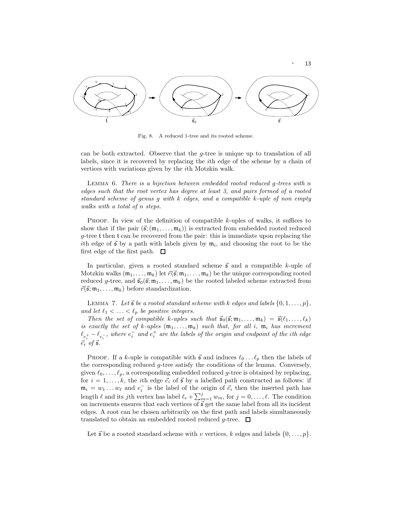

· <sup>13</sup>

Fig. 8. A reduced 1-tree and its rooted scheme.

can be both extracted. Observe that the g-tree is unique up to translation of all labels, since it is recovered by replacing the ith edge of the scheme by a chain of vertices with variations given by the ith Motzkin walk.

Lemma 6. *There is a bijection between embedded rooted reduced* g*-trees with* n *edges such that the root vertex has degree at least 3, and pairs formed of a rooted standard scheme of genus* g *with* k *edges, and a compatible* k*-uple of non empty walks with a total of* n *steps.*

**PROOF.** In view of the definition of compatible  $k$ -uples of walks, it suffices to show that if the pair  $(\vec{s}; (m_1, \ldots, m_k))$  is extracted from embedded rooted reduced  $g$ -tree t then t can be recovered from the pair: this is immediate upon replacing the ith edge of  $\vec{s}$  by a path with labels given by  $m_i$ , and choosing the root to be the first edge of the first path.  $\Box$ 

In particular, given a rooted standard scheme  $\vec{s}$  and a compatible k-uple of Motzkin walks  $(m_1, \ldots, m_k)$  let  $\vec{r}(\vec{s}; m_1, \ldots, m_k)$  be the unique corresponding rooted reduced g-tree, and  $\vec{s}_0(\vec{s}; m_1, \ldots, m_k)$  be the rooted labeled scheme extracted from  $\vec{r}(\vec{s}; \mathfrak{m}_1, \ldots, \mathfrak{m}_k)$  before standardization.

LEMMA 7. Let  $\vec{s}$  be a rooted standard scheme with k edges and labels  $\{0, 1, \ldots, p\}$ , *and let*  $\ell_1 < \ldots < \ell_p$  *be positive integers.* 

*Then the set of compatible k-uples such that*  $\vec{s}_0(\vec{s}; m_1, \ldots, m_k) = \vec{s}(\ell_1, \ldots, \ell_k)$ *is exactly the set of*  $k$ -uples  $(\mathfrak{m}_1, \ldots, \mathfrak{m}_k)$  *such that, for all i,*  $\mathfrak{m}_i$  *has increment*  $\ell_{e_i^+} - \ell_{e_i^-}$ , where  $e_i^-$  and  $e_i^+$  are the labels of the origin and endpoint of the ith edge  $\vec{e}_i$  of  $\vec{s}$ .

PROOF. If a k-uple is compatible with  $\vec{s}$  and induces  $\ell_0 \dots \ell_p$  then the labels of the corresponding reduced g-tree satisfy the conditions of the lemma. Conversely, given  $\ell_0, \ldots, \ell_p$ , a corresponding embedded reduced g-tree is obtained by replacing, for  $i = 1, \ldots, k$ , the *i*th edge  $\vec{e}_i$  of  $\vec{s}$  by a labelled path constructed as follows: if  $\mathfrak{m}_i = w_1 \dots w_\ell$  and  $e_i^-$  is the label of the origin of  $\vec{e}_i$  then the inserted path has length  $\ell$  and its jth vertex has label  $\ell_e + \sum_{m=1}^{j} w_m$ , for  $j = 0, \ldots, \ell$ . The condition on increments ensures that each vertices of  $\vec{s}$  get the same label from all its incident edges. A root can be chosen arbitrarily on the first path and labels simultaneously translated to obtain an embedded rooted reduced g-tree.  $\Box$ 

Let  $\vec{s}$  be a rooted standard scheme with v vertices, k edges and labels  $\{0, \ldots, p\}.$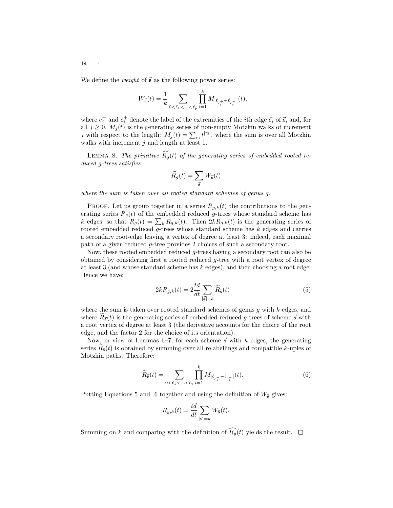We define the *weight* of  $\vec{s}$  as the following power series:

$$
W_{\vec{s}}(t) = \frac{1}{k} \sum_{0 < \ell_1 < \ldots < \ell_p} \prod_{i=1}^k M_{|\ell_{e_i^+} - \ell_{e_i^-}|}(t),
$$

where  $e_i^-$  and  $e_i^+$  denote the label of the extremities of the *i*th edge  $\vec{e}_i$  of  $\vec{s}$ , and, for all  $j \geq 0$ ,  $M_j(t)$  is the generating series of non-empty Motzkin walks of increment j with respect to the length:  $M_j(t) = \sum_{\mathfrak{m}} t^{|\mathfrak{m}|}$ , where the sum is over all Motzkin walks with increment  $j$  and length at least 1.

LEMMA 8. The primitive  $\widehat{R_g}(t)$  of the generating series of embedded rooted re*duced* g*-trees satisfies*

$$
\widehat{R_g}(t) = \sum_{\vec{\mathfrak{s}}} W_{\vec{\mathfrak{s}}}(t)
$$

*where the sum is taken over all rooted standard schemes of genus* g*.*

PROOF. Let us group together in a series  $R_{g,k}(t)$  the contributions to the generating series  $R_g(t)$  of the embedded reduced g-trees whose standard scheme has k edges, so that  $R_g(t) = \sum_k R_{g,k}(t)$ . Then  $2kR_{g,k}(t)$  is the generating series of rooted embedded reduced  $g$ -trees whose standard scheme has  $k$  edges and carries a secondary root-edge leaving a vertex of degree at least 3: indeed, each maximal path of a given reduced g-tree provides 2 choices of such a secondary root.

Now, these rooted embedded reduced g-trees having a secondary root can also be obtained by considering first a rooted reduced  $q$ -tree with a root vertex of degree at least 3 (and whose standard scheme has  $k$  edges), and then choosing a root edge. Hence we have:

$$
2kR_{g,k}(t) = 2\frac{td}{dt}\sum_{|\vec{s}|=k}\widetilde{R}_{\vec{s}}(t)
$$
\n(5)

where the sum is taken over rooted standard schemes of genus  $g$  with  $k$  edges, and where  $R_{\vec{s}}(t)$  is the generating series of embedded reduced g-trees of scheme  $\vec{s}$  with a root vertex of degree at least 3 (the derivative accounts for the choice of the root edge, and the factor 2 for the choice of its orientation).

Now, in view of Lemmas 6–7, for each scheme  $\vec{s}$  with k edges, the generating series  $R_{\vec{s}}(t)$  is obtained by summing over all relabellings and compatible k-uples of Motzkin paths. Therefore:

$$
\widetilde{R}_{\vec{s}}(t) = \sum_{0 < \ell_1 < \ldots < \ell_p} \prod_{i=1}^k M_{|\ell_{e_i^+} - \ell_{e_i^-}|}(t). \tag{6}
$$

Putting Equations 5 and 6 together and using the definition of  $W_{\vec{s}}$  gives:

$$
R_{g,k}(t) = \frac{td}{dt} \sum_{|\vec{s}|=k} W_{\vec{s}}(t).
$$

Summing on k and comparing with the definition of  $\widehat{R_g}(t)$  yields the result.  $\Box$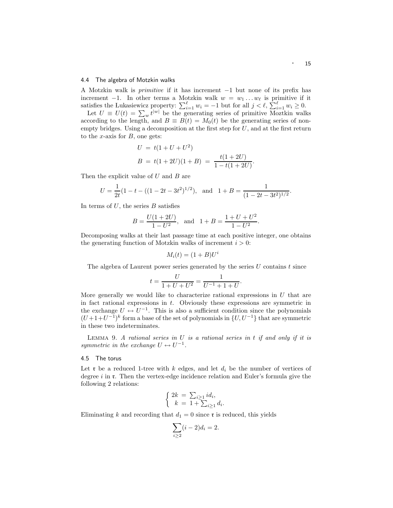# 4.4 The algebra of Motzkin walks

A Motzkin walk is *primitive* if it has increment −1 but none of its prefix has increment  $-1$ . In other terms a Motzkin walk  $w = w_1 \dots w_\ell$  is primitive if it satisfies the Lukasiewicz property:  $\sum_{i=1}^{\ell} w_i = -1$  but for all  $j < \ell$ ,  $\sum_{i=1}^{\ell} w_i \ge 0$ .

Let  $U \equiv U(t) = \sum_{w} t^{|w|}$  be the generating series of primitive Moztkin walks according to the length, and  $B \equiv B(t) = M_0(t)$  be the generating series of nonempty bridges. Using a decomposition at the first step for  $U$ , and at the first return to the x-axis for  $B$ , one gets:

$$
U = t(1 + U + U2)
$$
  
\n
$$
B = t(1 + 2U)(1 + B) = \frac{t(1 + 2U)}{1 - t(1 + 2U)}.
$$

Then the explicit value of  $U$  and  $B$  are

$$
U = \frac{1}{2t}(1 - t - ((1 - 2t - 3t^2)^{1/2}), \text{ and } 1 + B = \frac{1}{(1 - 2t - 3t^2)^{1/2}}.
$$

In terms of  $U$ , the series  $B$  satisfies

$$
B = \frac{U(1+2U)}{1-U^2}, \text{ and } 1 + B = \frac{1+U+U^2}{1-U^2}.
$$

Decomposing walks at their last passage time at each positive integer, one obtains the generating function of Motzkin walks of increment  $i > 0$ :

$$
M_i(t) = (1+B)U^i
$$

The algebra of Laurent power series generated by the series  $U$  contains  $t$  since

$$
t = \frac{U}{1 + U + U^2} = \frac{1}{U^{-1} + 1 + U}.
$$

More generally we would like to characterize rational expressions in  $U$  that are in fact rational expressions in  $t$ . Obviously these expressions are symmetric in the exchange  $U \leftrightarrow U^{-1}$ . This is also a sufficient condition since the polynomials  $(U+1+U^{-1})^k$  form a base of the set of polynomials in  $\{U, U^{-1}\}$  that are symmetric in these two indeterminates.

Lemma 9. *A rational series in* U *is a rational series in* t *if and only if it is symmetric in the exchange*  $U \leftrightarrow U^{-1}$ .

### 4.5 The torus

Let  $\mathfrak r$  be a reduced 1-tree with k edges, and let  $d_i$  be the number of vertices of degree  $i$  in  $\mathfrak{r}$ . Then the vertex-edge incidence relation and Euler's formula give the following 2 relations:

$$
\begin{cases} 2k = \sum_{i \ge 1} id_i, \\ k = 1 + \sum_{i \ge 1} d_i. \end{cases}
$$

Eliminating k and recording that  $d_1 = 0$  since **r** is reduced, this yields

$$
\sum_{i\geq 2} (i-2)d_i = 2.
$$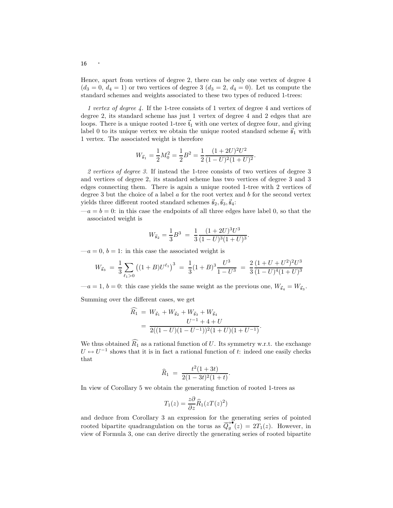Hence, apart from vertices of degree 2, there can be only one vertex of degree 4  $(d_3 = 0, d_4 = 1)$  or two vertices of degree 3  $(d_3 = 2, d_4 = 0)$ . Let us compute the standard schemes and weights associated to these two types of reduced 1-trees:

*1 vertex of degree 4.* If the 1-tree consists of 1 vertex of degree 4 and vertices of degree 2, its standard scheme has just 1 vertex of degree 4 and 2 edges that are loops. There is a unique rooted 1-tree  $\vec{t}_1$  with one vertex of degree four, and giving label 0 to its unique vertex we obtain the unique rooted standard scheme  $\vec{s}_1$  with 1 vertex. The associated weight is therefore

$$
W_{\vec{5}_1} = \frac{1}{2}M_0^2 = \frac{1}{2}B^2 = \frac{1}{2}\frac{(1+2U)^2U^2}{(1-U)^2(1+U)^2}.
$$

*2 vertices of degree 3.* If instead the 1-tree consists of two vertices of degree 3 and vertices of degree 2, its standard scheme has two vertices of degree 3 and 3 edges connecting them. There is again a unique rooted 1-tree with 2 vertices of degree 3 but the choice of a label  $\alpha$  for the root vertex and  $\beta$  for the second vertex yields three different rooted standard schemes  $\vec{s}_2, \vec{s}_3, \vec{s}_4$ :

 $-a = b = 0$ : in this case the endpoints of all three edges have label 0, so that the associated weight is

$$
W_{\vec{s}_2} = \frac{1}{3}B^3 = \frac{1}{3}\frac{(1+2U)^3U^3}{(1-U)^3(1+U)^3}
$$

.

 $-a = 0, b = 1$ : in this case the associated weight is

$$
W_{\vec{s}_3} = \frac{1}{3} \sum_{\ell_1 > 0} \left( (1+B)U^{\ell_1} \right)^3 = \frac{1}{3} (1+B)^3 \frac{U^3}{1-U^3} = \frac{2}{3} \frac{(1+U+U^2)^2 U^3}{(1-U)^4 (1+U)^3}
$$

 $-a = 1, b = 0$ : this case yields the same weight as the previous one,  $W_{\vec{s}_4} = W_{\vec{s}_3}$ . Summing over the different cases, we get

$$
\widehat{R_1} = W_{\vec{\mathfrak{s}}_1} + W_{\vec{\mathfrak{s}}_2} + W_{\vec{\mathfrak{s}}_3} + W_{\vec{\mathfrak{s}}_4}
$$
  
= 
$$
\frac{U^{-1} + 4 + U}{2((1 - U)(1 - U^{-1}))^2(1 + U)(1 + U^{-1})}.
$$

We thus obtained  $\widehat{R_1}$  as a rational function of U. Its symmetry w.r.t. the exchange  $U \leftrightarrow U^{-1}$  shows that it is in fact a rational function of t: indeed one easily checks that

$$
\widehat{R}_1 = \frac{t^2(1+3t)}{2(1-3t)^2(1+t)}.
$$

In view of Corollary 5 we obtain the generating function of rooted 1-trees as

$$
T_1(z) = \frac{z\partial}{\partial z}\widehat{R}_1(zT(z)^2)
$$

and deduce from Corollary 3 an expression for the generating series of pointed rooted bipartite quadrangulation on the torus as  $\overrightarrow{Q_g}^{\bullet}(z) = 2\overrightarrow{T_1}(z)$ . However, in view of Formula 3, one can derive directly the generating series of rooted bipartite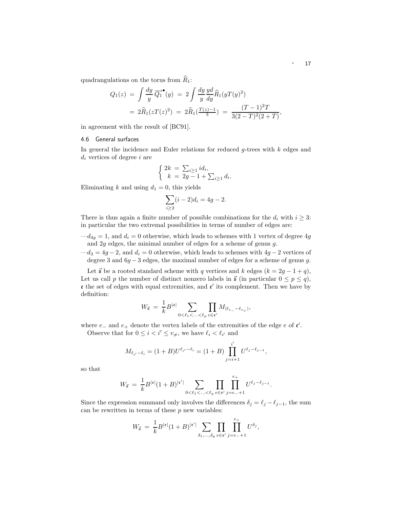quadrangulations on the torus from  $\widehat{R}_1$ :

$$
Q_1(z) = \int \frac{dy}{y} \overrightarrow{Q_1}^{\bullet}(y) = 2 \int \frac{dy}{y} \frac{yd}{dy} \widehat{R}_1(yT(y)^2)
$$
  
=  $2\widehat{R}_1(zT(z)^2) = 2\widehat{R}_1(\frac{T(z)-1}{3}) = \frac{(T-1)^2T}{3(2-T)^2(2+T)},$ 

in agreement with the result of [BC91].

# 4.6 General surfaces

In general the incidence and Euler relations for reduced  $g$ -trees with  $k$  edges and  $d_i$  vertices of degree i are

$$
\begin{cases} 2k = \sum_{i \ge 1} id_i, \\ k = 2g - 1 + \sum_{i \ge 1} d_i. \end{cases}
$$

Eliminating k and using  $d_1 = 0$ , this yields

$$
\sum_{i\geq 2} (i-2)d_i = 4g - 2.
$$

There is thus again a finite number of possible combinations for the  $d_i$  with  $i \geq 3$ : in particular the two extremal possibilities in terms of number of edges are:

 $-d_{4g} = 1$ , and  $d_i = 0$  otherwise, which leads to schemes with 1 vertex of degree 4g and 2g edges, the minimal number of edges for a scheme of genus g.

 $-d_3 = 4g - 2$ , and  $d_i = 0$  otherwise, which leads to schemes with  $4g - 2$  vertices of degree 3 and  $6g - 3$  edges, the maximal number of edges for a scheme of genus g.

Let  $\vec{s}$  be a rooted standard scheme with q vertices and k edges  $(k = 2g - 1 + q)$ , Let us call p the number of distinct nonzero labels in  $\vec{s}$  (in particular  $0 \le p \le q$ ),  $\epsilon$  the set of edges with equal extremities, and  $\epsilon'$  its complement. Then we have by definition:

$$
W_{\vec{\mathfrak{s}}} \ = \ \frac{1}{k} B^{|\mathfrak{e}|} \sum_{0 < \ell_1 < \ldots < \ell_p} \prod_{e \in \mathfrak{e}'} M_{|\ell_{e_-} - \ell_{e_+}|},
$$

where  $e_{-}$  and  $e_{+}$  denote the vertex labels of the extremities of the edge  $e$  of  $e'$ .

Observe that for  $0 \leq i < i' \leq v_{\neq}$ , we have  $\ell_i < \ell_{i'}$  and

$$
M_{\ell_{i'}-\ell_i} = (1+B)U^{\ell_{i'}-\ell_i} = (1+B)\prod_{j=i+1}^{i'} U^{\ell_j-\ell_{j-1}},
$$

so that

$$
W_{\vec{\mathfrak{s}}} = \frac{1}{k} B^{|\mathfrak{e}|} (1+B)^{|\mathfrak{e}'|} \sum_{0 < \ell_1 < \ldots < \ell_p} \prod_{e \in \mathfrak{e}'} \prod_{j=e_-+1}^{e_+} U^{\ell_j - \ell_{j-1}}.
$$

Since the expression summand only involves the differences  $\delta_j = \ell_j - \ell_{j-1}$ , the sum can be rewritten in terms of these  $p$  new variables:

$$
W_{\vec{\mathfrak{s}}} \,=\, \frac{1}{k} B^{|\mathfrak{e}|} (1+B)^{|\mathfrak{e}'|} \sum_{\delta_1, \dots, \delta_p} \prod_{e \in \mathfrak{e}'} \prod_{j=e_-+1}^{e_+} U^{\delta_j},
$$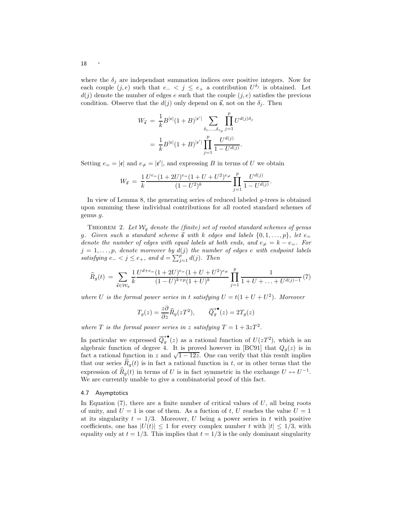where the  $\delta_j$  are independant summation indices over positive integers. Now for each couple  $(j, e)$  such that  $e_{-} < j \leq e_{+}$  a contribution  $U^{\delta_j}$  is obtained. Let  $d(j)$  denote the number of edges e such that the couple  $(j, e)$  satisfies the previous condition. Observe that the  $d(j)$  only depend on  $\vec{s}$ , not on the  $\delta_j$ . Then

$$
W_{\vec{\mathbf{s}}} = \frac{1}{k} B^{|\mathbf{e}|} (1 + B)^{|\mathbf{e}'|} \sum_{\delta_1, ..., \delta_{v_p}} \prod_{j=1}^p U^{d(j)\delta_j}
$$
  
= 
$$
\frac{1}{k} B^{|\mathbf{e}|} (1 + B)^{|\mathbf{e}'|} \prod_{j=1}^p \frac{U^{d(j)}}{1 - U^{d(j)}}.
$$

Setting  $e_{=} = |\mathbf{e}|$  and  $e_{\neq} = |\mathbf{e}'|$ , and expressing B in terms of U we obtain

$$
W_{\vec{\mathfrak{s}}} \;=\; \frac{1}{k} \frac{U^{e_{=}}(1+2U)^{e_{=}}(1+U+U^2)^{e_{\neq}}}{(1-U^2)^k} \prod_{j=1}^p \frac{U^{d(j)}}{1-U^{d(j)}}.
$$

In view of Lemma 8, the generating series of reduced labeled g-trees is obtained upon summing these individual contributions for all rooted standard schemes of genus g.

THEOREM 2. Let  $W_q$  denote the (finite) set of rooted standard schemes of genus g. Given such a standard scheme  $\vec{s}$  with k edges and labels  $\{0, 1, \ldots, p\}$ , let  $e$ *denote the number of edges with equal labels at both ends, and*  $e_{\neq} = k - e_{=}$ . For  $j = 1, \ldots, p$ , denote moreover by  $d(j)$  the number of edges e with endpoint labels *satisfying*  $e_{-} < j \le e_{+}$ , and  $d = \sum_{j=1}^{p} d(j)$ . Then

$$
\widehat{R}_g(t) = \sum_{\vec{s} \in \mathcal{W}_g} \frac{1}{k} \frac{U^{d+e} - (1+2U)^{e} - (1+U+U^2)^{e}}{(1-U)^{k+p}(1+U)^k} \prod_{j=1}^p \frac{1}{1+U+\ldots+U^{d(j)-1}}(7)
$$

where U is the formal power series in t satisfying  $U = t(1 + U + U^2)$ . Moreover

$$
T_g(z) = \frac{z\partial}{\partial z}\widehat{R}_g(zT^2), \qquad \overrightarrow{Q}_g^{\bullet}(z) = 2T_g(z)
$$

where T is the formal power series in z satisfying  $T = 1 + 3zT^2$ .

In particular we expressed  $\overrightarrow{Q_g}^{\bullet}(z)$  as a rational function of  $U(zT^2)$ , which is an algebraic function of degree 4. It is proved however in [BC91] that  $Q_g(z)$  is in fact a rational function in z and  $\sqrt{1-12z}$ . One can verify that this result implies that our series  $R_q(t)$  is in fact a rational function in t, or in other terms that the expression of  $\widehat{R}_g(t)$  in terms of U is in fact symmetric in the exchange  $U \leftrightarrow U^{-1}$ . We are currently unable to give a combinatorial proof of this fact.

# 4.7 Asymptotics

In Equation  $(7)$ , there are a finite number of critical values of U, all being roots of unity, and  $U = 1$  is one of them. As a fuction of t, U reaches the value  $U = 1$ at its singularity  $t = 1/3$ . Moreover, U being a power series in t with positive coefficients, one has  $|U(t)| \leq 1$  for every complex number t with  $|t| \leq 1/3$ , with equality only at  $t = 1/3$ . This implies that  $t = 1/3$  is the only dominant singularity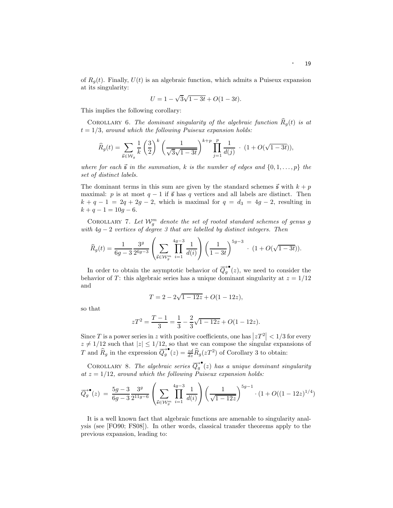of  $R_q(t)$ . Finally,  $U(t)$  is an algebraic function, which admits a Puiseux expansion at its singularity:

$$
U = 1 - \sqrt{3}\sqrt{1 - 3t} + O(1 - 3t).
$$

This implies the following corollary:

COROLLARY 6. The dominant singularity of the algebraic function  $\hat{R}_g(t)$  is at  $t = 1/3$ *, around which the following Puiseux expansion holds:* 

$$
\widehat{R}_g(t) = \sum_{\vec{s} \in \mathcal{W}_g} \frac{1}{k} \left(\frac{3}{2}\right)^k \left(\frac{1}{\sqrt{3}\sqrt{1-3t}}\right)^{k+p} \prod_{j=1}^p \frac{1}{d(j)} \cdot (1 + O(\sqrt{1-3t})),
$$

*where for each*  $\vec{s}$  *in the summation,* k *is the number of edges and*  $\{0, 1, \ldots, p\}$  *the set of distinct labels.*

The dominant terms in this sum are given by the standard schemes  $\vec{s}$  with  $k + p$ maximal: p is at most  $q - 1$  if  $\vec{s}$  has q vertices and all labels are distinct. Then  $k + q - 1 = 2q + 2g - 2$ , which is maximal for  $q = d_3 = 4g - 2$ , resulting in  $k + q - 1 = 10g - 6.$ 

COROLLARY 7. Let  $\mathcal{W}_{g}^{m}$  denote the set of rooted standard schemes of genus g *with* 4g − 2 *vertices of degree 3 that are labelled by distinct integers. Then*

$$
\widehat{R}_g(t) = \frac{1}{6g-3} \frac{3^g}{2^{6g-3}} \left( \sum_{\vec{s} \in \mathcal{W}_g^m} \prod_{i=1}^{4g-3} \frac{1}{d(i)} \right) \left( \frac{1}{1-3t} \right)^{5g-3} \cdot (1 + O(\sqrt{1-3t})).
$$

In order to obtain the asymptotic behavior of  $\overrightarrow{Q_g}^{\bullet} (z)$ , we need to consider the behavior of T: this algebraic series has a unique dominant singularity at  $z = 1/12$ and

$$
T = 2 - 2\sqrt{1 - 12z} + O(1 - 12z),
$$

so that

$$
zT^{2} = \frac{T-1}{3} = \frac{1}{3} - \frac{2}{3}\sqrt{1-12z} + O(1-12z).
$$

Since T is a power series in z with positive coefficients, one has  $|zT^2| < 1/3$  for every  $z \neq 1/12$  such that  $|z| \leq 1/12$ , so that we can compose the singular expansions of T and  $\widehat{R}_g$  in the expression  $\overrightarrow{Q_g}^{\bullet}(z) = \frac{zd}{dz}\widehat{R}_g(zT^2)$  of Corollary 3 to obtain:

COROLLARY 8. The algebraic series  $\overrightarrow{Q_g}^{\bullet}(z)$  has a unique dominant singularity *at* z = 1/12*, around which the following Puiseux expansion holds:*

$$
\overrightarrow{Q_g}^{\bullet}(z) = \frac{5g-3}{6g-3} \frac{3^g}{2^{11g-6}} \left( \sum_{\vec{s} \in \mathcal{W}_g^m} \prod_{i=1}^{4g-3} \frac{1}{d(i)} \right) \left( \frac{1}{\sqrt{1-12z}} \right)^{5g-1} \cdot (1 + O((1-12z)^{1/4}))
$$

It is a well known fact that algebraic functions are amenable to singularity analysis (see [FO90; FS08]). In other words, classical transfer theorems apply to the previous expansion, leading to: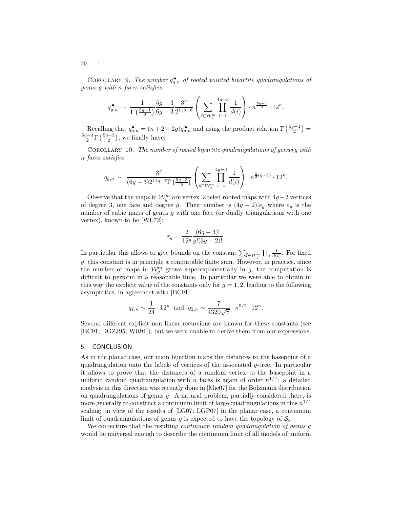COROLLARY 9. The number  $\vec{q}_{g,n}^{\bullet}$  of rooted pointed bipartite quadrangulations of *genus* g *with* n *faces satisfies:*

$$
\bar{q}_{g,n}^{\bullet} \sim \frac{1}{\Gamma\left(\frac{5g-1}{2}\right)} \frac{5g-3}{6g-3} \frac{3^g}{2^{11g-6}} \left( \sum_{\vec{s} \in \mathcal{W}_g^m} \prod_{i=1}^{4g-3} \frac{1}{d(i)} \right) \cdot n^{\frac{5g-3}{2}} \cdot 12^n.
$$

Recalling that  $q_{g,n}^{\bullet} = (n+2-2g)\bar{q}_{g,n}^{\bullet}$  and using the product relation  $\Gamma\left(\frac{5g-1}{2}\right) =$  $\frac{5g-3}{2}$ Γ $\left(\frac{5g-3}{2}\right)$ , we finally have:

Corollary 10. *The number of rooted bipartite quadrangulations of genus* g *with* n *faces satisfies*

$$
q_{g,n} \sim \frac{3^g}{(6g-3)2^{11g-7}\Gamma\left(\frac{5g-3}{2}\right)} \left(\sum_{\vec{s}\in\mathcal{W}_g^m} \prod_{i=1}^{4g-3} \frac{1}{d(i)}\right) \cdot n^{\frac{5}{2}(g-1)} \cdot 12^n.
$$

Observe that the maps in  $\mathcal{W}_g^m$  are vertex labeled rooted maps with  $4g-2$  vertices of degree 3, one face and degree g. Their number is  $(4g - 2)$ ! $\varepsilon_q$  where  $\varepsilon_q$  is the number of cubic maps of genus  $q$  with one face (or dually triangulations with one vertex), known to be [WL72]:

$$
\varepsilon_g = \frac{2}{12^g} \frac{(6g-3)!}{g!(3g-2)!}.
$$

In particular this allows to give bounds on the constant  $\sum_{\vec{s} \in \mathcal{W}_g^m} \prod_i \frac{1}{d(i)}$ . For fixed  $g$ , this constant is in principle a computable finite sum. However, in practice, since the number of maps in  $\mathcal{W}_g^m$  grows superexponentially in g, the computation is difficult to perform in a reasonable time. In particular we were able to obtain in this way the explicit value of the constants only for  $q = 1, 2$ , leading to the following asymptotics, in agreement with [BC91]:

$$
q_{1,n} \sim \frac{1}{24} \cdot 12^n
$$
 and  $q_{2,n} \sim \frac{7}{4320\sqrt{\pi}} \cdot n^{5/2} \cdot 12^n$ .

Several different explicit non linear recursions are known for these constants (see [BC91; DGZJ95; Wit91]), but we were unable to derive them from our expressions.

### 5. CONCLUSION

As in the planar case, our main bijection maps the distances to the basepoint of a quadrangulation onto the labels of vertices of the associated  $q$ -tree. In particular it allows to prove that the distances of a random vertex to the basepoint in a uniform random quadrangulation with *n* faces is again of order  $n^{1/4}$ : a detailed analysis in this direction was recently done in [Mie07] for the Bolzmann distribution on quadrangulations of genus  $q$ . A natural problem, partially considered there, is more generally to construct a continuum limit of large quadrangulations in this  $n^{1/4}$ scaling: in view of the results of [LG07; LGP07] in the planar case, a continuum limit of quadrangulations of genus g is expected to have the topology of  $S_q$ .

We conjecture that the resulting *continuum random quadrangulation of genus* g would be universal enough to describe the continuum limit of all models of uniform

20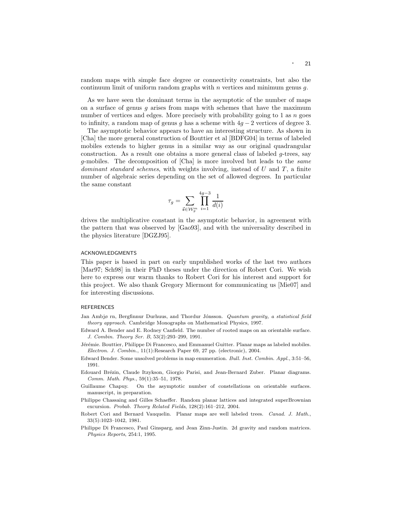random maps with simple face degree or connectivity constraints, but also the continuum limit of uniform random graphs with  $n$  vertices and minimum genus  $q$ .

As we have seen the dominant terms in the asymptotic of the number of maps on a surface of genus q arises from maps with schemes that have the maximum number of vertices and edges. More precisely with probability going to 1 as  $n$  goes to infinity, a random map of genus g has a scheme with  $4g - 2$  vertices of degree 3.

The asymptotic behavior appears to have an interesting structure. As shown in [Cha] the more general construction of Bouttier et al [BDFG04] in terms of labeled mobiles extends to higher genus in a similar way as our original quadrangular construction. As a result one obtains a more general class of labeled  $q$ -trees, say g-mobiles. The decomposition of [Cha] is more involved but leads to the *same dominant standard schemes*, with weights involving, instead of U and T, a finite number of algebraic series depending on the set of allowed degrees. In particular the same constant

$$
\tau_g=\sum_{\vec{\mathbf{s}}\in\mathcal{W}_g^m}\prod_{i=1}^{4g-3}\frac{1}{d(i)}
$$

drives the multiplicative constant in the asymptotic behavior, in agreement with the pattern that was observed by [Gao93], and with the universality described in the physics literature [DGZJ95].

# ACKNOWLEDGMENTS

This paper is based in part on early unpublished works of the last two authors [Mar97; Sch98] in their PhD theses under the direction of Robert Cori. We wish here to express our warm thanks to Robert Cori for his interest and support for this project. We also thank Gregory Miermont for communicating us [Mie07] and for interesting discussions.

### REFERENCES

- Jan Ambjø rn, Bergfinnur Durhuus, and Thordur Jónsson. Quantum gravity, a statistical field theory approach. Cambridge Monographs on Mathematical Physics, 1997.
- Edward A. Bender and E. Rodney Canfield. The number of rooted maps on an orientable surface. J. Combin. Theory Ser. B, 53(2):293–299, 1991.
- Jérémie. Bouttier, Philippe Di Francesco, and Emmanuel Guitter. Planar maps as labeled mobiles. Electron. J. Combin., 11(1):Research Paper 69, 27 pp. (electronic), 2004.
- Edward Bender. Some unsolved problems in map enumeration. Bull. Inst. Combin. Appl., 3:51–56, 1991.
- Edouard Brézin, Claude Itzykson, Giorgio Parisi, and Jean-Bernard Zuber. Planar diagrams. Comm. Math. Phys., 59(1):35–51, 1978.
- Guillaume Chapuy. On the asymptotic number of constellations on orientable surfaces. manuscript, in preparation.
- Philippe Chassaing and Gilles Schaeffer. Random planar lattices and integrated superBrownian excursion. Probab. Theory Related Fields, 128(2):161–212, 2004.
- Robert Cori and Bernard Vauquelin. Planar maps are well labeled trees. Canad. J. Math., 33(5):1023–1042, 1981.
- Philippe Di Francesco, Paul Ginsparg, and Jean Zinn-Justin. 2d gravity and random matrices. Physics Reports, 254:1, 1995.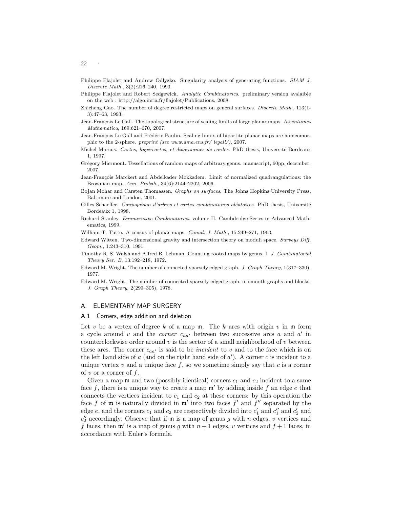- Philippe Flajolet and Andrew Odlyzko. Singularity analysis of generating functions. SIAM J. Discrete Math., 3(2):216–240, 1990.
- Philippe Flajolet and Robert Sedgewick. Analytic Combinatorics. preliminary version avalaible on the web : http://algo.inria.fr/flajolet/Publications, 2008.
- Zhicheng Gao. The number of degree restricted maps on general surfaces. Discrete Math., 123(1-3):47–63, 1993.
- Jean-François Le Gall. The topological structure of scaling limits of large planar maps. *Inventiones* Mathematica, 169:621–670, 2007.
- Jean-François Le Gall and Frédéric Paulin. Scaling limits of bipartite planar maps are homeomorphic to the 2-sphere. preprint (see www.dma.ens.fr/ legall/), 2007.
- Michel Marcus. Cartes, hypercartes, et diagrammes de cordes. PhD thesis, Université Bordeaux 1, 1997.
- Grégory Miermont. Tessellations of random maps of arbitrary genus. manuscript, 60pp, december, 2007.
- Jean-François Marckert and Abdelkader Mokkadem. Limit of normalized quadrangulations: the Brownian map. Ann. Probab., 34(6):2144–2202, 2006.
- Bojan Mohar and Carsten Thomassen. Graphs on surfaces. The Johns Hopkins University Press, Baltimore and London, 2001.
- Gilles Schaeffer. Conjugaison d'arbres et cartes combinatoires aléatoires. PhD thesis, Université Bordeaux 1, 1998.
- Richard Stanley. Enumerative Combinatorics, volume II. Cambdridge Series in Advanced Mathematics, 1999.
- William T. Tutte. A census of planar maps. Canad. J. Math., 15:249–271, 1963.
- Edward Witten. Two-dimensional gravity and intersection theory on moduli space. Surveys Diff. Geom., 1:243–310, 1991.
- Timothy R. S. Walsh and Alfred B. Lehman. Counting rooted maps by genus. I. J. Combinatorial Theory Ser. B, 13:192–218, 1972.
- Edward M. Wright. The number of connected sparsely edged graph. J. Graph Theory, 1(317–330), 1977.
- Edward M. Wright. The number of connected sparsely edged graph. ii. smooth graphs and blocks. J. Graph Theory, 2(299–305), 1978.

### A. ELEMENTARY MAP SURGERY

### A.1 Corners, edge addition and deletion

Let v be a vertex of degree k of a map  $m$ . The k arcs with origin v in  $m$  form a cycle around  $v$  and the *corner*  $c_{aa'}$  between two successive arcs  $a$  and  $a'$  in counterclockwise order around  $v$  is the sector of a small neighborhood of  $v$  between these arcs. The corner  $c_{aa'}$  is said to be *incident* to v and to the face which is on the left hand side of  $a$  (and on the right hand side of  $a'$ ). A corner  $c$  is incident to a unique vertex  $v$  and a unique face  $f$ , so we sometime simply say that  $c$  is a corner of v or a corner of  $f$ .

Given a map  $\mathfrak m$  and two (possibly identical) corners  $c_1$  and  $c_2$  incident to a same face f, there is a unique way to create a map  $\mathfrak{m}'$  by adding inside f an edge e that connects the vertices incident to  $c_1$  and  $c_2$  at these corners: by this operation the face f of  $m$  is naturally divided in  $m'$  into two faces  $f'$  and  $f''$  separated by the edge  $e$ , and the corners  $c_1$  and  $c_2$  are respectively divided into  $c'_1$  and  $c''_1$  and  $c'_2$  and  $c''_2$  accordingly. Observe that if  $\mathfrak m$  is a map of genus g with n edges, v vertices and f faces, then  $\mathfrak{m}'$  is a map of genus g with  $n+1$  edges, v vertices and  $f+1$  faces, in accordance with Euler's formula.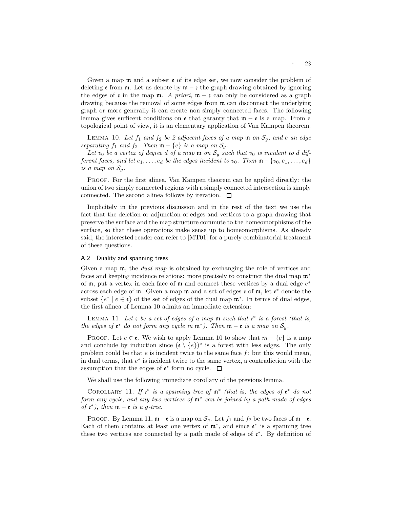Given a map  $\mathfrak m$  and a subset  $\mathfrak e$  of its edge set, we now consider the problem of deleting  $\epsilon$  from  $\mathfrak{m}$ . Let us denote by  $\mathfrak{m} - \epsilon$  the graph drawing obtained by ignoring the edges of  $\epsilon$  in the map  $\mathfrak{m}$ . *A priori*,  $\mathfrak{m} - \epsilon$  can only be considered as a graph drawing because the removal of some edges from m can disconnect the underlying graph or more generally it can create non simply connected faces. The following lemma gives sufficent conditions on  $\epsilon$  that garanty that  $\mathfrak{m} - \epsilon$  is a map. From a topological point of view, it is an elementary application of Van Kampen theorem.

LEMMA 10. Let  $f_1$  and  $f_2$  be 2 adjacent faces of a map  $m$  on  $S_q$ , and e an edge  $separating\ f_1\ and\ f_2.$  Then  $\mathfrak{m}-\{e\}\ is\ a\ map\ on\ \mathcal{S}_g.$ 

Let  $v_0$  be a vertex of degree d of a map  $m$  on  $S_g$  such that  $v_0$  is incident to d dif*ferent faces, and let*  $e_1, \ldots, e_d$  *be the edges incident to*  $v_0$ *. Then*  $\mathfrak{m} - \{v_0, e_1, \ldots, e_d\}$ *is a map on*  $S_q$ .

Proof. For the first alinea, Van Kampen theorem can be applied directly: the union of two simply connected regions with a simply connected intersection is simply connected. The second alinea follows by iteration.  $\Box$ 

Implicitely in the previous discussion and in the rest of the text we use the fact that the deletion or adjunction of edges and vertices to a graph drawing that preserve the surface and the map structure commute to the homeomorphisms of the surface, so that these operations make sense up to homeomorphisms. As already said, the interested reader can refer to [MT01] for a purely combinatorial treatment of these questions.

### A.2 Duality and spanning trees

Given a map m, the *dual map* is obtained by exchanging the role of vertices and faces and keeping incidence relations: more precisely to construct the dual map  $\mathfrak{m}^*$ of  $m$ , put a vertex in each face of  $m$  and connect these vertices by a dual edge  $e^*$ across each edge of  $m$ . Given a map  $m$  and a set of edges  $e$  of  $m$ , let  $e^*$  denote the subset  $\{e^* \mid e \in \mathfrak{e}\}$  of the set of edges of the dual map  $\mathfrak{m}^*$ . In terms of dual edges, the first alinea of Lemma 10 admits an immediate extension:

Lemma 11. *Let* e *be a set of edges of a map* m *such that* e ∗ *is a forest (that is, the edges of*  $e^*$  *do not form any cycle in*  $m^*$ *). Then*  $m - e$  *is a map on*  $S_g$ *.* 

PROOF. Let  $e \in \mathfrak{e}$ . We wish to apply Lemma 10 to show that  $m - \{e\}$  is a map and conclude by induction since  $(e \setminus \{e\})^*$  is a forest with less edges. The only problem could be that  $e$  is incident twice to the same face  $f$ : but this would mean, in dual terms, that  $e^*$  is incident twice to the same vertex, a contradiction with the assumption that the edges of  $\mathfrak{e}^*$  form no cycle.

We shall use the following immediate corollary of the previous lemma.

COROLLARY 11. If  $e^*$  *is a spanning tree of*  $m^*$  *(that is, the edges of*  $e^*$  *do not form any cycle, and any two vertices of* m<sup>∗</sup> *can be joined by a path made of edges of*  $e^*$ *), then*  $m - e$  *is a g-tree.* 

PROOF. By Lemma 11,  $\mathfrak{m}-\mathfrak{e}$  is a map on  $\mathcal{S}_g$ . Let  $f_1$  and  $f_2$  be two faces of  $\mathfrak{m}-\mathfrak{e}$ . Each of them contains at least one vertex of  $\mathfrak{m}^*$ , and since  $\mathfrak{e}^*$  is a spanning tree these two vertices are connected by a path made of edges of  $e^*$ . By definition of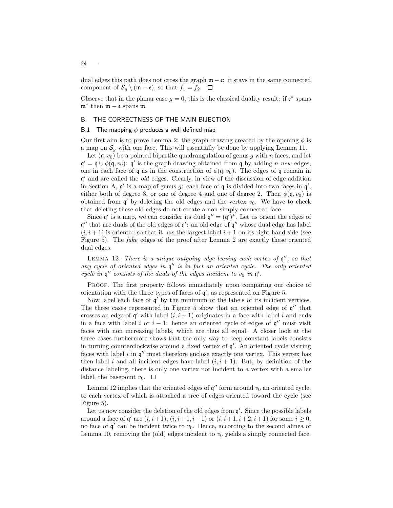dual edges this path does not cross the graph  $m - \varepsilon$ : it stays in the same connected component of  $\mathcal{S}_g \setminus (\mathfrak{m} - \mathfrak{e}),$  so that  $f_1 = f_2$ .  $\Box$ 

Observe that in the planar case  $g = 0$ , this is the classical duality result: if  $\mathfrak{e}^*$  spans  $\mathfrak{m}^*$  then  $\mathfrak{m} - \mathfrak{e}$  spans  $\mathfrak{m}$ .

# B. THE CORRECTNESS OF THE MAIN BIJECTION

### B.1 The mapping  $\phi$  produces a well defined map

Our first aim is to prove Lemma 2: the graph drawing created by the opening  $\phi$  is a map on  $S<sub>g</sub>$  with one face. This will essentially be done by applying Lemma 11.

Let  $(q, v_0)$  be a pointed bipartite quadrangulation of genus g with n faces, and let  $\mathfrak{q}' = \mathfrak{q} \cup \phi(\mathfrak{q}, v_0)$ :  $\mathfrak{q}'$  is the graph drawing obtained from  $\mathfrak{q}$  by adding *n new* edges, one in each face of q as in the construction of  $\phi(\mathfrak{q}, v_0)$ . The edges of q remain in q ′ and are called the *old* edges. Clearly, in view of the discussion of edge addition in Section A,  $\mathfrak{q}'$  is a map of genus g: each face of  $\mathfrak{q}$  is divided into two faces in  $\mathfrak{q}'$ , either both of degree 3, or one of degree 4 and one of degree 2. Then  $\phi(\mathfrak{q}, v_0)$  is obtained from  $\mathfrak{q}'$  by deleting the old edges and the vertex  $v_0$ . We have to check that deleting these old edges do not create a non simply connected face.

Since  $\mathfrak{q}'$  is a map, we can consider its dual  $\mathfrak{q}'' = (\mathfrak{q}')^*$ . Let us orient the edges of  $\mathfrak{q}''$  that are duals of the old edges of  $\mathfrak{q}'$ : an old edge of  $\mathfrak{q}''$  whose dual edge has label  $(i, i + 1)$  is oriented so that it has the largest label  $i + 1$  on its right hand side (see Figure 5). The *fake* edges of the proof after Lemma 2 are exactly these oriented dual edges.

LEMMA 12. *There is a unique outgoing edge leaving each vertex of*  $\mathfrak{q}''$ *, so that any cycle of oriented edges in* q ′′ *is in fact an oriented cycle. The only oriented cycle in*  $\mathfrak{q}''$  *consists of the duals of the edges incident to*  $v_0$  *in*  $\mathfrak{q}'$ *.* 

PROOF. The first property follows immediately upon comparing our choice of orientation with the three types of faces of  $\mathfrak{q}'$ , as represented on Figure 5.

Now label each face of  $\mathfrak{q}'$  by the minimum of the labels of its incident vertices. The three cases represented in Figure 5 show that an oriented edge of  $\mathfrak{q}''$  that crosses an edge of  $\mathfrak{q}'$  with label  $(i, i + 1)$  originates in a face with label i and ends in a face with label i or  $i - 1$ : hence an oriented cycle of edges of  $\mathfrak{q}''$  must visit faces with non increasing labels, which are thus all equal. A closer look at the three cases furthermore shows that the only way to keep constant labels consists in turning counterclockwise around a fixed vertex of q ′ . An oriented cycle visiting faces with label  $i$  in  $\mathfrak{q}''$  must therefore enclose exactly one vertex. This vertex has then label i and all incident edges have label  $(i, i + 1)$ . But, by definition of the distance labeling, there is only one vertex not incident to a vertex with a smaller label, the basepoint  $v_0$ .  $\Box$ 

Lemma 12 implies that the oriented edges of  $\mathfrak{q}''$  form around  $v_0$  an oriented cycle, to each vertex of which is attached a tree of edges oriented toward the cycle (see Figure 5).

Let us now consider the deletion of the old edges from  $\mathfrak{q}'$ . Since the possible labels around a face of  $\mathfrak{q}'$  are  $(i, i+1)$ ,  $(i, i+1, i+1)$  or  $(i, i+1, i+2, i+1)$  for some  $i \ge 0$ , no face of  $\mathfrak{q}'$  can be incident twice to  $v_0$ . Hence, according to the second alinea of Lemma 10, removing the (old) edges incident to  $v_0$  yields a simply connected face.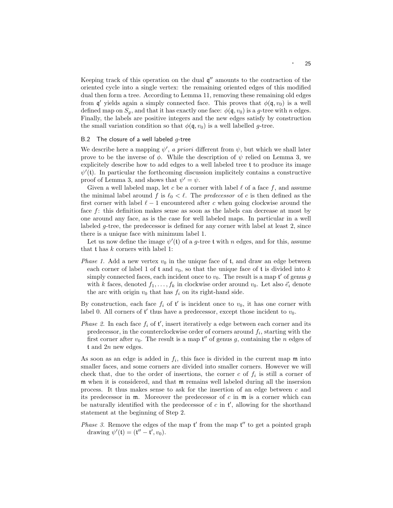Keeping track of this operation on the dual  $\mathfrak{q}''$  amounts to the contraction of the oriented cycle into a single vertex: the remaining oriented edges of this modified dual then form a tree. According to Lemma 11, removing these remaining old edges from  $\mathfrak{q}'$  yields again a simply connected face. This proves that  $\phi(\mathfrak{q}, v_0)$  is a well defined map on  $S_q$ , and that it has exactly one face:  $\phi(\mathfrak{q}, v_0)$  is a g-tree with n edges. Finally, the labels are positive integers and the new edges satisfy by construction the small variation condition so that  $\phi(\mathfrak{q}, v_0)$  is a well labelled g-tree.

# B.2 The closure of a well labeled  $g$ -tree

We describe here a mapping  $\psi'$ , *a priori* different from  $\psi$ , but which we shall later prove to be the inverse of  $\phi$ . While the description of  $\psi$  relied on Lemma 3, we explicitely describe how to add edges to a well labeled tree t to produce its image  $\psi'(t)$ . In particular the forthcoming discussion implicitely contains a constructive proof of Lemma 3, and shows that  $\psi' = \psi$ .

Given a well labeled map, let c be a corner with label  $\ell$  of a face f, and assume the minimal label around f is  $\ell_0 < \ell$ . The *predecessor* of c is then defined as the first corner with label  $\ell - 1$  encountered after c when going clockwise around the face f: this definition makes sense as soon as the labels can decrease at most by one around any face, as is the case for well labeled maps. In particular in a well labeled g-tree, the predecessor is defined for any corner with label at least 2, since there is a unique face with minimum label 1.

Let us now define the image  $\psi'(t)$  of a g-tree t with n edges, and for this, assume that  $t$  has  $k$  corners with label 1:

*Phase 1.* Add a new vertex  $v_0$  in the unique face of  $t$ , and draw an edge between each corner of label 1 of t and  $v_0$ , so that the unique face of t is divided into k simply connected faces, each incident once to  $v_0$ . The result is a map  $\mathfrak{t}'$  of genus g with k faces, denoted  $f_1, \ldots, f_k$  in clockwise order around  $v_0$ . Let also  $\vec{e}_i$  denote the arc with origin  $v_0$  that has  $f_i$  on its right-hand side.

By construction, each face  $f_i$  of  $t'$  is incident once to  $v_0$ , it has one corner with label 0. All corners of  $t'$  thus have a predecessor, except those incident to  $v_0$ .

*Phase 2.* In each face  $f_i$  of  $t'$ , insert iteratively a edge between each corner and its predecessor, in the counterclockwise order of corners around  $f_i$ , starting with the first corner after  $v_0$ . The result is a map  $\mathfrak{t}''$  of genus g, containing the n edges of t and 2n new edges.

As soon as an edge is added in  $f_i$ , this face is divided in the current map  $\mathfrak m$  into smaller faces, and some corners are divided into smaller corners. However we will check that, due to the order of insertions, the corner c of  $f_i$  is still a corner of m when it is considered, and that m remains well labeled during all the insersion process. It thus makes sense to ask for the insertion of an edge between c and its predecessor in  $m$ . Moreover the predecessor of c in  $m$  is a corner which can be naturally identified with the predecessor of  $c$  in  $\mathfrak{t}'$ , allowing for the shorthand statement at the beginning of Step 2.

*Phase 3.* Remove the edges of the map  $t'$  from the map  $t''$  to get a pointed graph drawing  $\psi'(\mathfrak{t}) = (\mathfrak{t}'' - \mathfrak{t}', v_0).$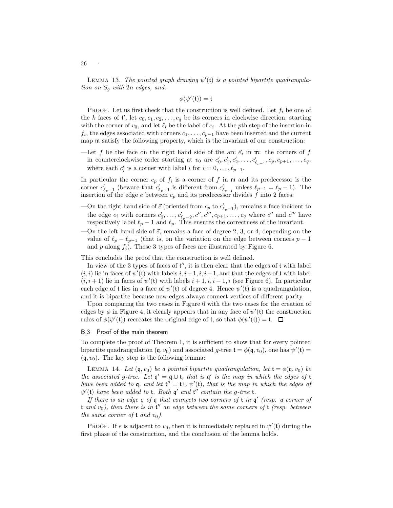LEMMA 13. *The pointed graph drawing*  $\psi'(t)$  *is a pointed bipartite quadrangulation on* S<sup>g</sup> *with* 2n *edges, and:*

 $\phi(\psi'(\mathfrak{t})) = \mathfrak{t}$ 

**PROOF.** Let us first check that the construction is well defined. Let  $f_i$  be one of the k faces of  $\mathfrak{t}'$ , let  $c_0, c_1, c_2, \ldots, c_q$  be its corners in clockwise direction, starting with the corner of  $v_0$ , and let  $\ell_i$  be the label of  $c_i$ . At the pth step of the insertion in  $f_i$ , the edges associated with corners  $c_1, \ldots, c_{p-1}$  have been inserted and the current map m satisfy the following property, which is the invariant of our construction:

—Let f be the face on the right hand side of the arc  $\vec{e}_i$  in  $\mathfrak{m}$ : the corners of f in counterclockwise order starting at  $v_0$  are  $c'_0, c'_1, c'_2, \ldots, c'_{\ell_{p-1}}, c_p, c_{p+1}, \ldots, c_q$ , where each  $c'_i$  is a corner with label i for  $i = 0, \ldots, \ell_{p-1}$ .

In particular the corner  $c_p$  of  $f_i$  is a corner of f in  $\mathfrak m$  and its predecessor is the corner  $c'_{\ell_p-1}$  (beware that  $c'_{\ell_p-1}$  is different from  $c'_{\ell_{p-1}}$  unless  $\ell_{p-1} = \ell_p - 1$ ). The insertion of the edge e between  $c_p$  and its predecessor divides f into 2 faces:

- —On the right hand side of  $\vec{e}$  (oriented from  $c_p$  to  $c'_{\ell_p-1}$ ), remains a face incident to the edge  $e_i$  with corners  $c'_0, \ldots, c'_{\ell_p-2}, c'', c''', c_{p+1}, \ldots, c_q$  where  $c''$  and  $c'''$  have respectively label  $\ell_p - 1$  and  $\ell_p$ . This ensures the correctness of the invariant.
- —On the left hand side of  $\vec{e}$ , remains a face of degree 2, 3, or 4, depending on the value of  $\ell_p - \ell_{p-1}$  (that is, on the variation on the edge between corners  $p-1$ and p along  $f_i$ ). These 3 types of faces are illustrated by Figure 6.

This concludes the proof that the construction is well defined.

In view of the 3 types of faces of  $t''$ , it is then clear that the edges of  $t$  with label  $(i, i)$  lie in faces of  $\psi'$ (t) with labels  $i, i-1, i, i-1$ , and that the edges of t with label  $(i, i + 1)$  lie in faces of  $\psi'$ (t) with labels  $i + 1, i, i - 1, i$  (see Figure 6). In particular each edge of t lies in a face of  $\psi'(t)$  of degree 4. Hence  $\psi'(t)$  is a quadrangulation, and it is bipartite because new edges always connect vertices of different parity.

Upon comparing the two cases in Figure 6 with the two cases for the creation of edges by  $\phi$  in Figure 4, it clearly appears that in any face of  $\psi'(t)$  the construction rules of  $\phi(\psi'(\mathfrak{t}))$  recreates the original edge of  $\mathfrak{t}$ , so that  $\phi(\psi'(\mathfrak{t})) = \mathfrak{t}$ .

# B.3 Proof of the main theorem

To complete the proof of Theorem 1, it is sufficient to show that for every pointed bipartite quadrangulation  $(\mathfrak{q}, v_0)$  and associated g-tree  $\mathfrak{t} = \phi(\mathfrak{q}, v_0)$ , one has  $\psi'(\mathfrak{t}) =$  $(q, v_0)$ . The key step is the following lemma:

LEMMA 14. Let  $(\mathfrak{q}, v_0)$  *be a pointed bipartite quadrangulation, let*  $\mathfrak{t} = \phi(\mathfrak{q}, v_0)$  *be the associated* g-tree. Let  $q' = q \cup t$ *, that is* q' *is the map in which the edges of* t *have been added to* **q***, and let*  $t'' = t \cup \psi'(t)$ *, that is the map in which the edges of*  $\psi'(t)$  *have been added to* **t***. Both*  $\mathfrak{q}'$  *and* **t**" *contain the* g-tree **t***.* 

*If there is an edge* e *of* q *that connects two corners of* t *in* q ′ *(resp. a corner of* t *and* v0*), then there is in* t ′′ *an edge between the same corners of* t *(resp. between the same corner of*  $t$  *and*  $v_0$ *).* 

**PROOF.** If e is adjacent to  $v_0$ , then it is immediately replaced in  $\psi'(t)$  during the first phase of the construction, and the conclusion of the lemma holds.